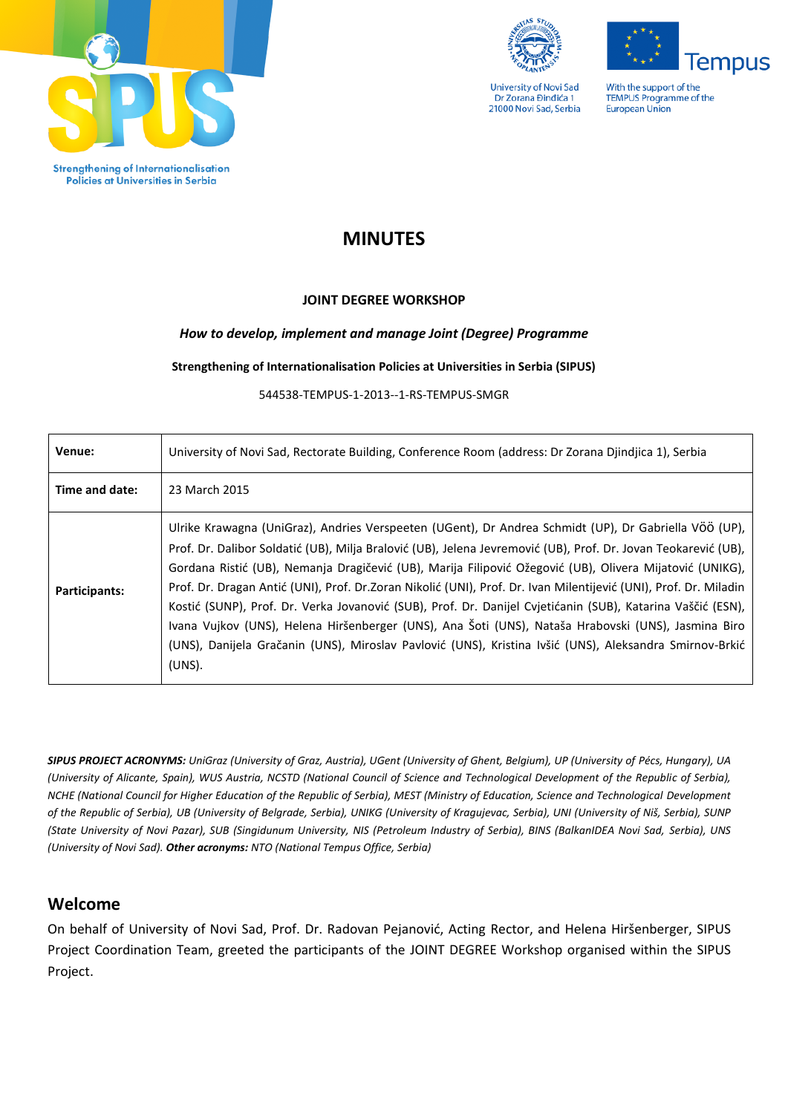

Policies at Universities in Serbia



**University of Novi Sad** Dr Zorana Đinđića 1 21000 Novi Sad, Serbia

**lempus** With the support of the TEMPUS Programme of the

**European Union** 

# **MINUTES**

# **JOINT DEGREE WORKSHOP**

# *How to develop, implement and manage Joint (Degree) Programme*

**Strengthening of Internationalisation Policies at Universities in Serbia (SIPUS)**

544538-TEMPUS-1-2013--1-RS-TEMPUS-SMGR

| Venue:         | University of Novi Sad, Rectorate Building, Conference Room (address: Dr Zorana Djindjica 1), Serbia                                                                                                                                                                                                                                                                                                                                                                                                                                                                                                                                                                                                                                                                                                  |
|----------------|-------------------------------------------------------------------------------------------------------------------------------------------------------------------------------------------------------------------------------------------------------------------------------------------------------------------------------------------------------------------------------------------------------------------------------------------------------------------------------------------------------------------------------------------------------------------------------------------------------------------------------------------------------------------------------------------------------------------------------------------------------------------------------------------------------|
| Time and date: | 23 March 2015                                                                                                                                                                                                                                                                                                                                                                                                                                                                                                                                                                                                                                                                                                                                                                                         |
| Participants:  | Ulrike Krawagna (UniGraz), Andries Verspeeten (UGent), Dr Andrea Schmidt (UP), Dr Gabriella VÖÖ (UP),<br>Prof. Dr. Dalibor Soldatić (UB), Milja Bralović (UB), Jelena Jevremović (UB), Prof. Dr. Jovan Teokarević (UB),<br>Gordana Ristić (UB), Nemanja Dragičević (UB), Marija Filipović Ožegović (UB), Olivera Mijatović (UNIKG),<br>Prof. Dr. Dragan Antić (UNI), Prof. Dr.Zoran Nikolić (UNI), Prof. Dr. Ivan Milentijević (UNI), Prof. Dr. Miladin<br>Kostić (SUNP), Prof. Dr. Verka Jovanović (SUB), Prof. Dr. Danijel Cvjetićanin (SUB), Katarina Vaščić (ESN),<br>Ivana Vujkov (UNS), Helena Hiršenberger (UNS), Ana Šoti (UNS), Nataša Hrabovski (UNS), Jasmina Biro<br>(UNS), Danijela Gračanin (UNS), Miroslav Pavlović (UNS), Kristina Ivšić (UNS), Aleksandra Smirnov-Brkić<br>$(UNS)$ . |

*SIPUS PROJECT ACRONYMS: UniGraz (University of Graz, Austria), UGent (University of Ghent, Belgium), UP (University of Pécs, Hungary), UA (University of Alicante, Spain), WUS Austria, NCSTD (National Council of Science and Technological Development of the Republic of Serbia), NCHE (National Council for Higher Education of the Republic of Serbia), MEST (Ministry of Education, Science and Technological Development of the Republic of Serbia), UB (University of Belgrade, Serbia), UNIKG (University of Kragujevac, Serbia), UNI (University of Niš, Serbia), SUNP (State University of Novi Pazar), SUB (Singidunum University, NIS (Petroleum Industry of Serbia), BINS (BalkanIDEA Novi Sad, Serbia), UNS (University of Novi Sad). Other acronyms: NTO (National Tempus Office, Serbia)*

# **Welcome**

On behalf of University of Novi Sad, Prof. Dr. Radovan Pejanović, Acting Rector, and Helena Hiršenberger, SIPUS Project Coordination Team, greeted the participants of the JOINT DEGREE Workshop organised within the SIPUS Project.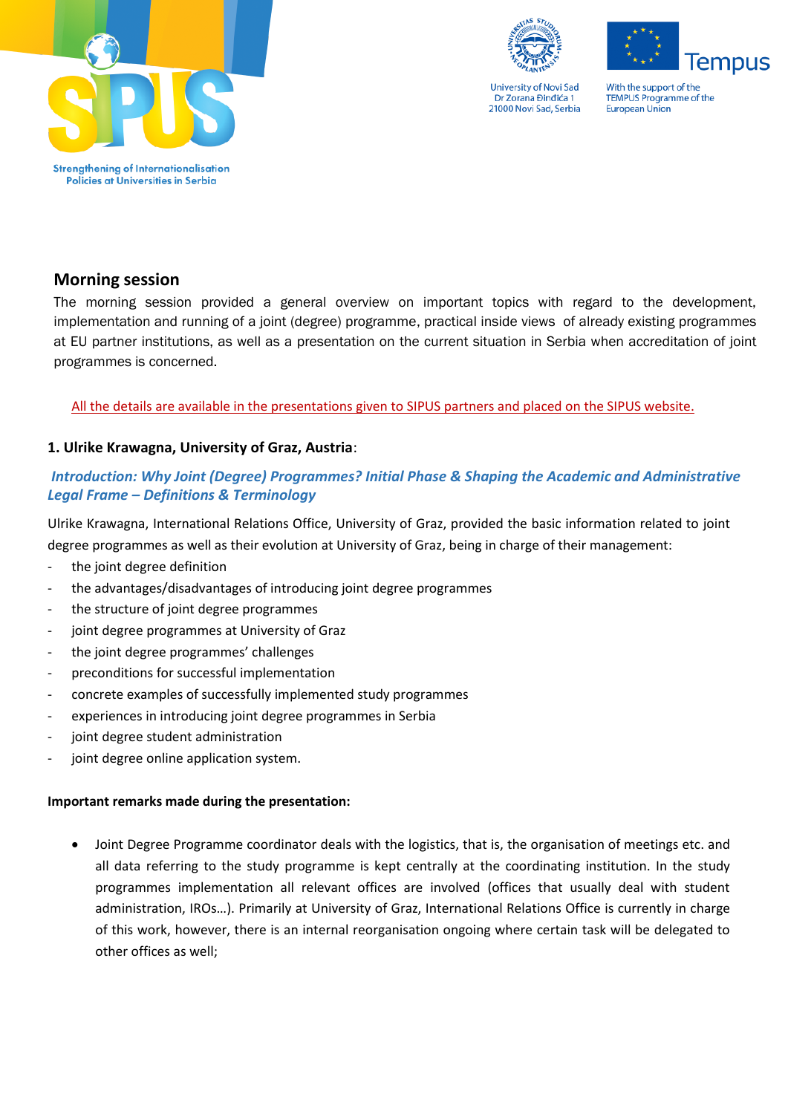



**lempus** 

With the support of the TEMPUS Programme of the **European Union** 

# **Morning session**

The morning session provided a general overview on important topics with regard to the development, implementation and running of a joint (degree) programme, practical inside views of already existing programmes at EU partner institutions, as well as a presentation on the current situation in Serbia when accreditation of joint programmes is concerned.

# All the details are available in the presentations given to SIPUS partners and placed on the SIPUS website.

# **1. Ulrike Krawagna, University of Graz, Austria**:

# *Introduction: Why Joint (Degree) Programmes? Initial Phase & Shaping the Academic and Administrative Legal Frame – Definitions & Terminology*

Ulrike Krawagna, International Relations Office, University of Graz, provided the basic information related to joint degree programmes as well as their evolution at University of Graz, being in charge of their management:

- the joint degree definition
- the advantages/disadvantages of introducing joint degree programmes
- the structure of joint degree programmes
- joint degree programmes at University of Graz
- the joint degree programmes' challenges
- preconditions for successful implementation
- concrete examples of successfully implemented study programmes
- experiences in introducing joint degree programmes in Serbia
- joint degree student administration
- joint degree online application system.

#### **Important remarks made during the presentation:**

 Joint Degree Programme coordinator deals with the logistics, that is, the organisation of meetings etc. and all data referring to the study programme is kept centrally at the coordinating institution. In the study programmes implementation all relevant offices are involved (offices that usually deal with student administration, IROs…). Primarily at University of Graz, International Relations Office is currently in charge of this work, however, there is an internal reorganisation ongoing where certain task will be delegated to other offices as well;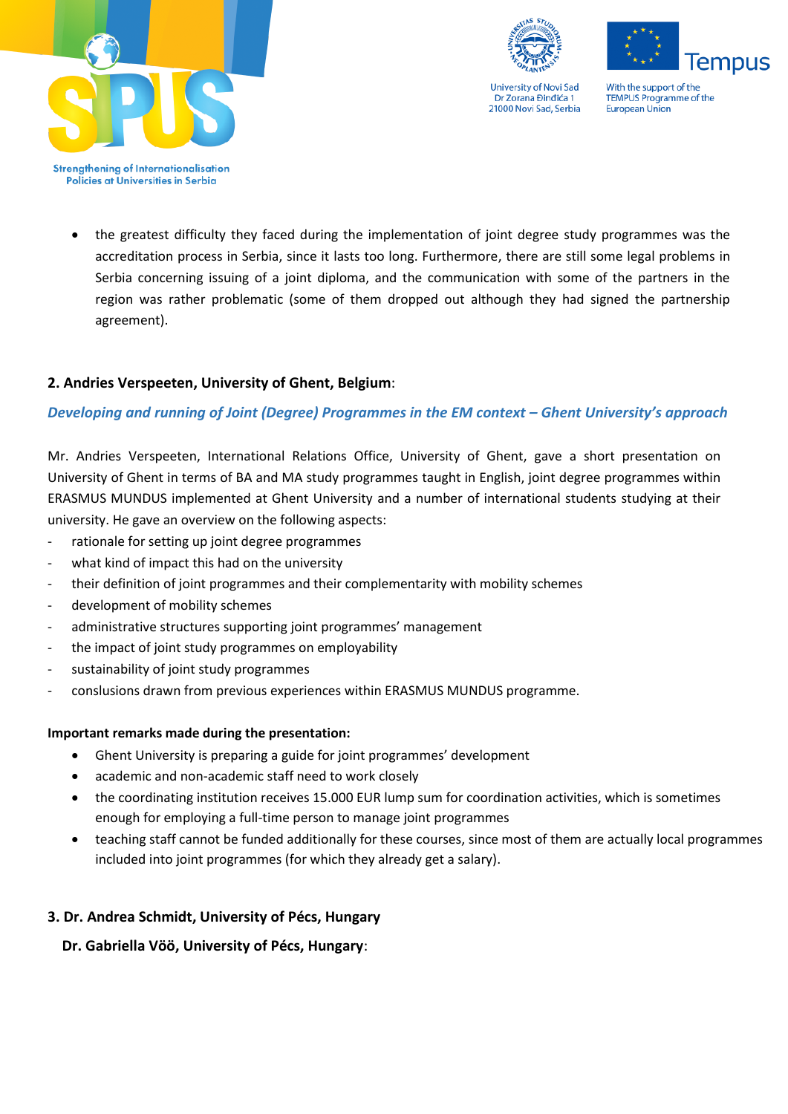





With the support of the TEMPUS Programme of the **European Union** 

**Strengthening of Internationalisation** Policies at Universities in Serbia

> the greatest difficulty they faced during the implementation of joint degree study programmes was the accreditation process in Serbia, since it lasts too long. Furthermore, there are still some legal problems in Serbia concerning issuing of a joint diploma, and the communication with some of the partners in the region was rather problematic (some of them dropped out although they had signed the partnership agreement).

# **2. Andries Verspeeten, University of Ghent, Belgium**:

# *Developing and running of Joint (Degree) Programmes in the EM context – Ghent University's approach*

Mr. Andries Verspeeten, International Relations Office, University of Ghent, gave a short presentation on University of Ghent in terms of BA and MA study programmes taught in English, joint degree programmes within ERASMUS MUNDUS implemented at Ghent University and a number of international students studying at their university. He gave an overview on the following aspects:

- rationale for setting up joint degree programmes
- what kind of impact this had on the university
- their definition of joint programmes and their complementarity with mobility schemes
- development of mobility schemes
- administrative structures supporting joint programmes' management
- the impact of joint study programmes on employability
- sustainability of joint study programmes
- conslusions drawn from previous experiences within ERASMUS MUNDUS programme.

#### **Important remarks made during the presentation:**

- Ghent University is preparing a guide for joint programmes' development
- academic and non-academic staff need to work closely
- the coordinating institution receives 15.000 EUR lump sum for coordination activities, which is sometimes enough for employing a full-time person to manage joint programmes
- teaching staff cannot be funded additionally for these courses, since most of them are actually local programmes included into joint programmes (for which they already get a salary).

# **3. Dr. Andrea Schmidt, University of Pécs, Hungary**

 **Dr. Gabriella Vöö, University of Pécs, Hungary**: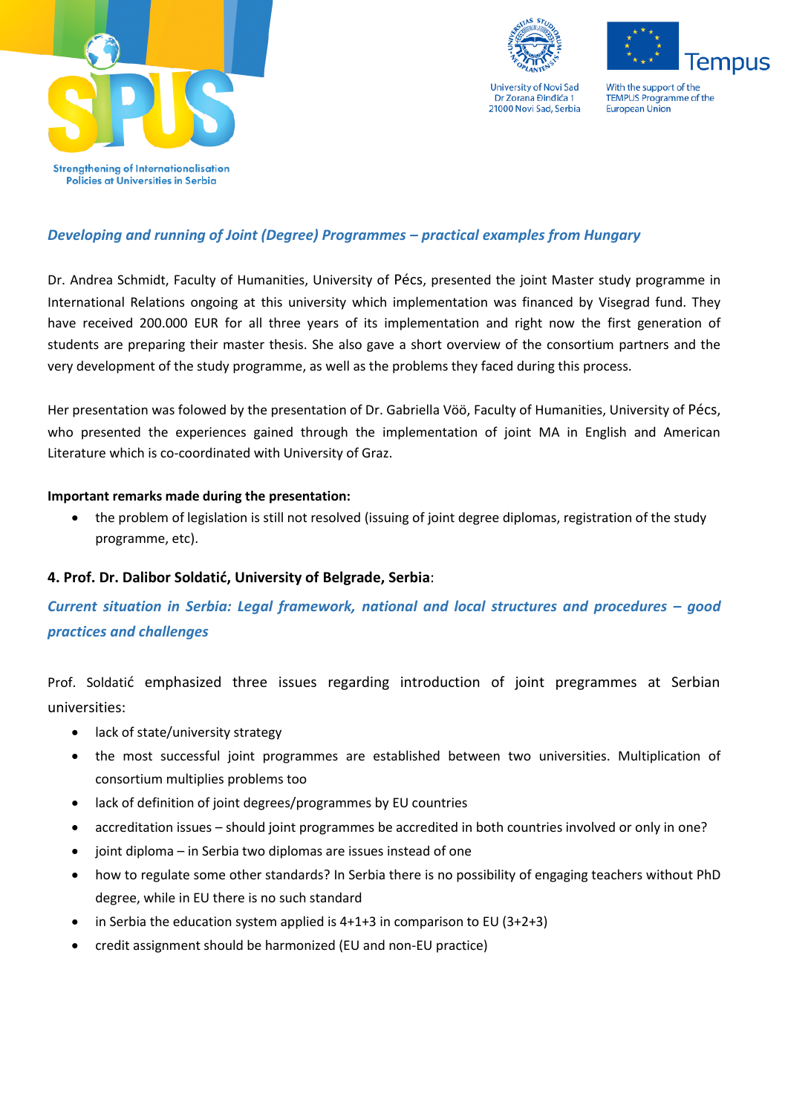





With the support of the TEMPUS Programme of the **European Union** 

# *Developing and running of Joint (Degree) Programmes – practical examples from Hungary*

Dr. Andrea Schmidt, Faculty of Humanities, University of Pécs, presented the joint Master study programme in International Relations ongoing at this university which implementation was financed by Visegrad fund. They have received 200.000 EUR for all three years of its implementation and right now the first generation of students are preparing their master thesis. She also gave a short overview of the consortium partners and the very development of the study programme, as well as the problems they faced during this process.

Her presentation was folowed by the presentation of Dr. Gabriella Vöö, Faculty of Humanities, University of Pécs, who presented the experiences gained through the implementation of joint MA in English and American Literature which is co-coordinated with University of Graz.

# **Important remarks made during the presentation:**

 the problem of legislation is still not resolved (issuing of joint degree diplomas, registration of the study programme, etc).

# **4. Prof. Dr. Dalibor Soldatić, University of Belgrade, Serbia**:

*Current situation in Serbia: Legal framework, national and local structures and procedures – good practices and challenges*

Prof. Soldatić emphasized three issues regarding introduction of joint pregrammes at Serbian universities:

- lack of state/university strategy
- the most successful joint programmes are established between two universities. Multiplication of consortium multiplies problems too
- lack of definition of joint degrees/programmes by EU countries
- accreditation issues should joint programmes be accredited in both countries involved or only in one?
- $\bullet$  joint diploma in Serbia two diplomas are issues instead of one
- how to regulate some other standards? In Serbia there is no possibility of engaging teachers without PhD degree, while in EU there is no such standard
- in Serbia the education system applied is  $4+1+3$  in comparison to EU ( $3+2+3$ )
- credit assignment should be harmonized (EU and non-EU practice)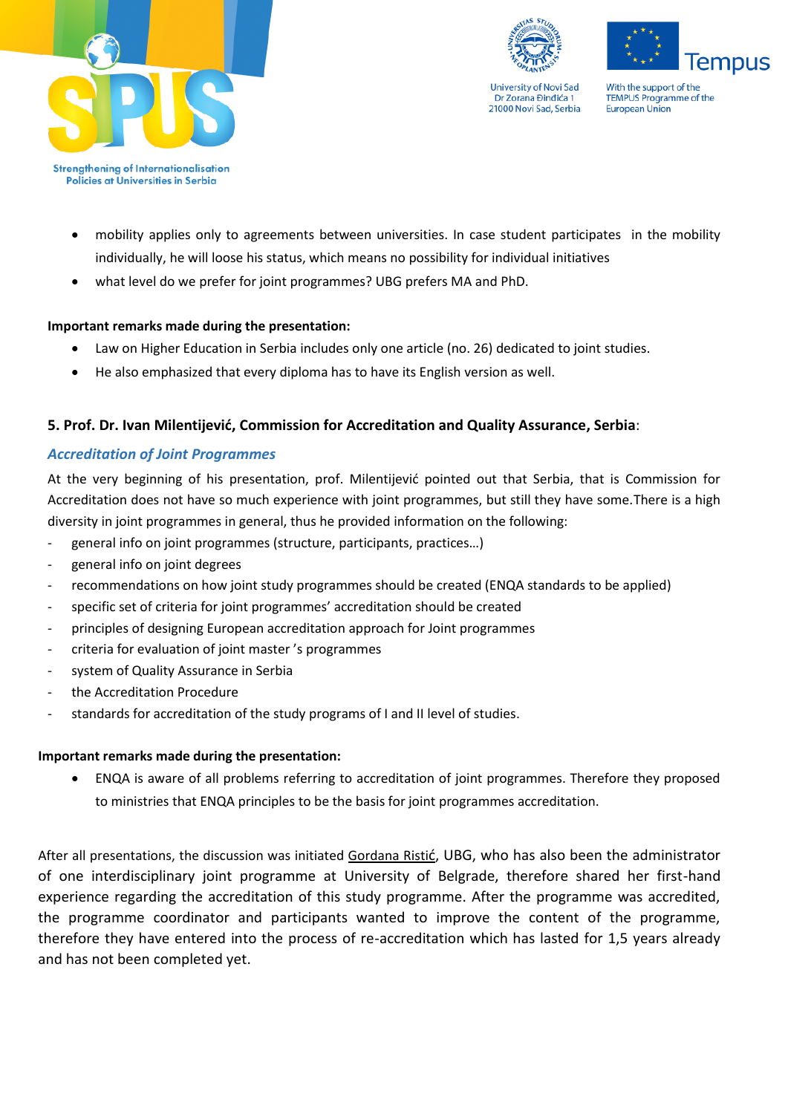





With the support of the TEMPUS Programme of the **European Union** 

**Strengthening of Internationalisation** Policies at Universities in Serbia

- mobility applies only to agreements between universities. In case student participates in the mobility individually, he will loose his status, which means no possibility for individual initiatives
- what level do we prefer for joint programmes? UBG prefers MA and PhD.

# **Important remarks made during the presentation:**

- Law on Higher Education in Serbia includes only one article (no. 26) dedicated to joint studies.
- He also emphasized that every diploma has to have its English version as well.

# **5. Prof. Dr. Ivan Milentijević, Commission for Accreditation and Quality Assurance, Serbia**:

#### *Accreditation of Joint Programmes*

At the very beginning of his presentation, prof. Milentijević pointed out that Serbia, that is Commission for Accreditation does not have so much experience with joint programmes, but still they have some.There is a high diversity in joint programmes in general, thus he provided information on the following:

- general info on joint programmes (structure, participants, practices…)
- general info on joint degrees
- recommendations on how joint study programmes should be created (ENQA standards to be applied)
- specific set of criteria for joint programmes' accreditation should be created
- principles of designing European accreditation approach for Joint programmes
- criteria for evaluation of joint master's programmes
- system of Quality Assurance in Serbia
- the Accreditation Procedure
- standards for accreditation of the study programs of I and II level of studies.

#### **Important remarks made during the presentation:**

 ENQA is aware of all problems referring to accreditation of joint programmes. Therefore they proposed to ministries that ENQA principles to be the basis for joint programmes accreditation.

After all presentations, the discussion was initiated Gordana Ristić, UBG, who has also been the administrator of one interdisciplinary joint programme at University of Belgrade, therefore shared her first-hand experience regarding the accreditation of this study programme. After the programme was accredited, the programme coordinator and participants wanted to improve the content of the programme, therefore they have entered into the process of re-accreditation which has lasted for 1,5 years already and has not been completed yet.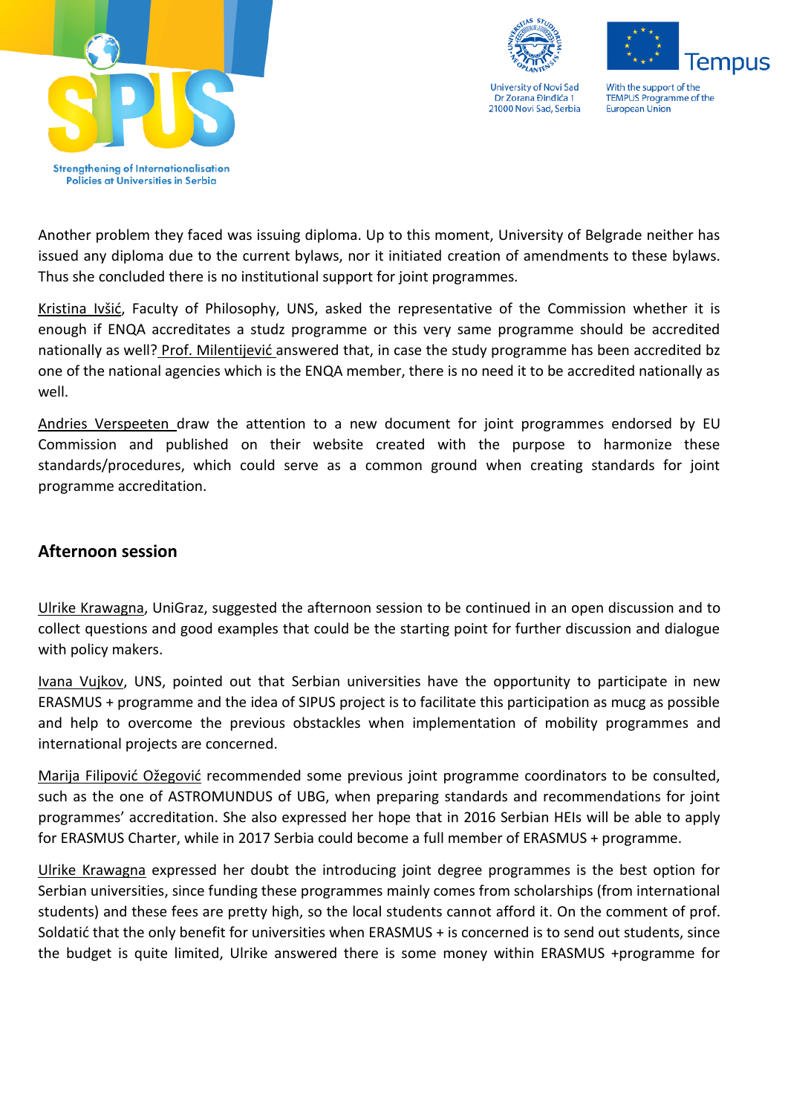





With the support of the **TEMPUS Programme of the European Union** 

Another problem they faced was issuing diploma. Up to this moment, University of Belgrade neither has issued any diploma due to the current bylaws, nor it initiated creation of amendments to these bylaws. Thus she concluded there is no institutional support for joint programmes.

Kristina Ivšić, Faculty of Philosophy, UNS, asked the representative of the Commission whether it is enough if ENQA accreditates a studz programme or this very same programme should be accredited nationally as well? Prof. Milentijević answered that, in case the study programme has been accredited bz one of the national agencies which is the ENQA member, there is no need it to be accredited nationally as well.

Andries Verspeeten draw the attention to a new document for joint programmes endorsed by EU Commission and published on their website created with the purpose to harmonize these standards/procedures, which could serve as a common ground when creating standards for joint programme accreditation.

# **Afternoon session**

Ulrike Krawagna, UniGraz, suggested the afternoon session to be continued in an open discussion and to collect questions and good examples that could be the starting point for further discussion and dialogue with policy makers.

Ivana Vujkov, UNS, pointed out that Serbian universities have the opportunity to participate in new ERASMUS + programme and the idea of SIPUS project is to facilitate this participation as mucg as possible and help to overcome the previous obstackles when implementation of mobility programmes and international projects are concerned.

Marija Filipović Ožegović recommended some previous joint programme coordinators to be consulted, such as the one of ASTROMUNDUS of UBG, when preparing standards and recommendations for joint programmes' accreditation. She also expressed her hope that in 2016 Serbian HEIs will be able to apply for ERASMUS Charter, while in 2017 Serbia could become a full member of ERASMUS + programme.

Ulrike Krawagna expressed her doubt the introducing joint degree programmes is the best option for Serbian universities, since funding these programmes mainly comes from scholarships (from international students) and these fees are pretty high, so the local students cannot afford it. On the comment of prof. Soldatić that the only benefit for universities when ERASMUS + is concerned is to send out students, since the budget is quite limited, Ulrike answered there is some money within ERASMUS +programme for